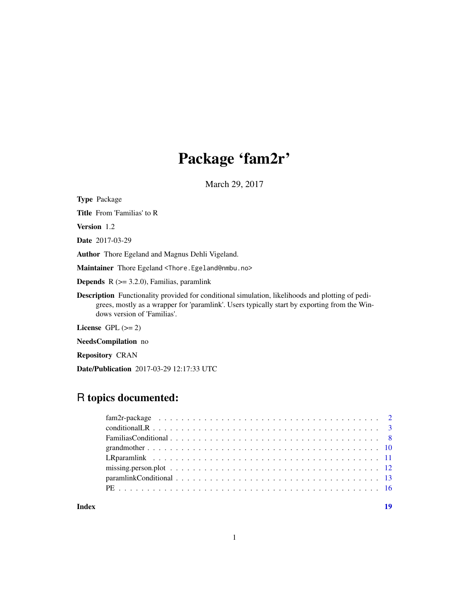# Package 'fam2r'

March 29, 2017

<span id="page-0-0"></span>Type Package Title From 'Familias' to R Version 1.2 Date 2017-03-29 Author Thore Egeland and Magnus Dehli Vigeland. Maintainer Thore Egeland <Thore.Egeland@nmbu.no> **Depends**  $R$  ( $>= 3.2.0$ ), Familias, paramlink Description Functionality provided for conditional simulation, likelihoods and plotting of pedigrees, mostly as a wrapper for 'paramlink'. Users typically start by exporting from the Windows version of 'Familias'.

License GPL  $(>= 2)$ 

NeedsCompilation no

Repository CRAN

Date/Publication 2017-03-29 12:17:33 UTC

# R topics documented:

| Index |                                                                                                           | 19 |
|-------|-----------------------------------------------------------------------------------------------------------|----|
|       |                                                                                                           |    |
|       |                                                                                                           |    |
|       | LR paramlink $\ldots \ldots \ldots \ldots \ldots \ldots \ldots \ldots \ldots \ldots \ldots \ldots \ldots$ |    |
|       |                                                                                                           |    |
|       |                                                                                                           |    |
|       |                                                                                                           |    |
|       |                                                                                                           |    |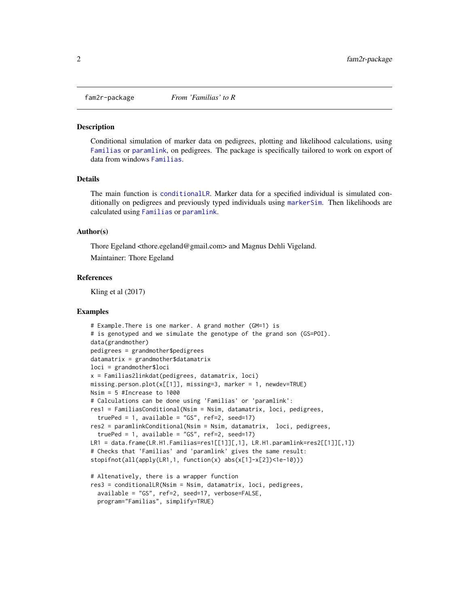<span id="page-1-0"></span>

#### Description

Conditional simulation of marker data on pedigrees, plotting and likelihood calculations, using [Familias](#page-0-0) or [paramlink](#page-0-0), on pedigrees. The package is specifically tailored to work on export of data from windows [Familias](#page-0-0).

#### Details

The main function is [conditionalLR](#page-2-1). Marker data for a specified individual is simulated conditionally on pedigrees and previously typed individuals using [markerSim](#page-0-0). Then likelihoods are calculated using [Familias](#page-0-0) or [paramlink](#page-0-0).

#### Author(s)

Thore Egeland <thore.egeland@gmail.com> and Magnus Dehli Vigeland.

Maintainer: Thore Egeland

#### References

Kling et al (2017)

#### Examples

```
# Example.There is one marker. A grand mother (GM=1) is
# is genotyped and we simulate the genotype of the grand son (GS=POI).
data(grandmother)
pedigrees = grandmother$pedigrees
datamatrix = grandmother$datamatrixloci = grandmother$loci
x = Familias2linkdat(pedigrees, datamatrix, loci)
missing.person.plot(x[[1]], missing=3, marker = 1, newdev=TRUE)
Nsim = 5 #Increase to 1000
# Calculations can be done using 'Familias' or 'paramlink':
res1 = FamiliasConditional(Nsim = Nsim, datamatrix, loci, pedigrees,
  truePed = 1, available = "GS", ref=2, seed=17)
res2 = paramlinkConditional(Nsim = Nsim, datamatrix, loci, pedigrees,
  truePed = 1, available = "GS", ref=2, seed=17)
LR1 = data.frame(LR.H1.Familias=res1[[1]][,1], LR.H1.paramlink=res2[[1]][,1])
# Checks that 'Familias' and 'paramlink' gives the same result:
stopifnot(all(apply(LR1,1, function(x) abs(x[1]-x[2])<1e-10)))
# Altenatively, there is a wrapper function
res3 = conditionalLR(Nsim = Nsim, datamatrix, loci, pedigrees,
  available = "GS", ref=2, seed=17, verbose=FALSE,
  program="Familias", simplify=TRUE)
```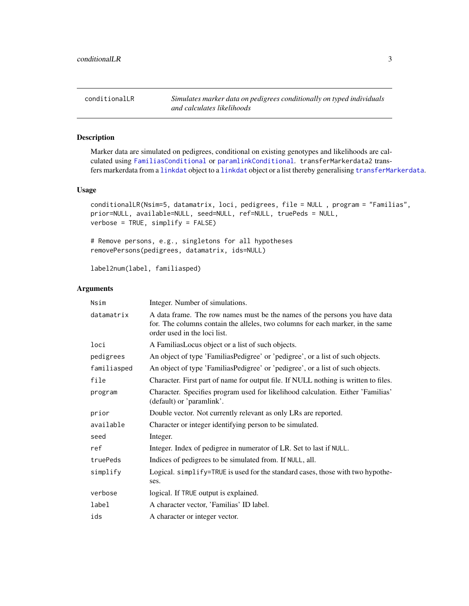<span id="page-2-1"></span><span id="page-2-0"></span>conditionalLR *Simulates marker data on pedigrees conditionally on typed individuals and calculates likelihoods*

#### Description

Marker data are simulated on pedigrees, conditional on existing genotypes and likelihoods are calculated using [FamiliasConditional](#page-7-1) or [paramlinkConditional](#page-12-1). transferMarkerdata2 transfers markerdata from a [linkdat](#page-0-0) object to a [linkdat](#page-0-0) object or a list thereby generalising [transferMarkerdata](#page-0-0).

#### Usage

```
conditionalLR(Nsim=5, datamatrix, loci, pedigrees, file = NULL , program = "Familias",
prior=NULL, available=NULL, seed=NULL, ref=NULL, truePeds = NULL,
verbose = TRUE, simplify = FALSE)
```
# Remove persons, e.g., singletons for all hypotheses removePersons(pedigrees, datamatrix, ids=NULL)

label2num(label, familiasped)

| Nsim        | Integer. Number of simulations.                                                                                                                                                              |
|-------------|----------------------------------------------------------------------------------------------------------------------------------------------------------------------------------------------|
| datamatrix  | A data frame. The row names must be the names of the persons you have data<br>for. The columns contain the alleles, two columns for each marker, in the same<br>order used in the loci list. |
| loci        | A Familias Locus object or a list of such objects.                                                                                                                                           |
| pedigrees   | An object of type 'FamiliasPedigree' or 'pedigree', or a list of such objects.                                                                                                               |
| familiasped | An object of type 'FamiliasPedigree' or 'pedigree', or a list of such objects.                                                                                                               |
| file        | Character. First part of name for output file. If NULL nothing is written to files.                                                                                                          |
| program     | Character. Specifies program used for likelihood calculation. Either 'Familias'<br>(default) or 'paramlink'.                                                                                 |
| prior       | Double vector. Not currently relevant as only LRs are reported.                                                                                                                              |
| available   | Character or integer identifying person to be simulated.                                                                                                                                     |
| seed        | Integer.                                                                                                                                                                                     |
| ref         | Integer. Index of pedigree in numerator of LR. Set to last if NULL.                                                                                                                          |
| truePeds    | Indices of pedigrees to be simulated from. If NULL, all.                                                                                                                                     |
| simplify    | Logical. simplify=TRUE is used for the standard cases, those with two hypothe-<br>ses.                                                                                                       |
| verbose     | logical. If TRUE output is explained.                                                                                                                                                        |
| label       | A character vector, 'Familias' ID label.                                                                                                                                                     |
| ids         | A character or integer vector.                                                                                                                                                               |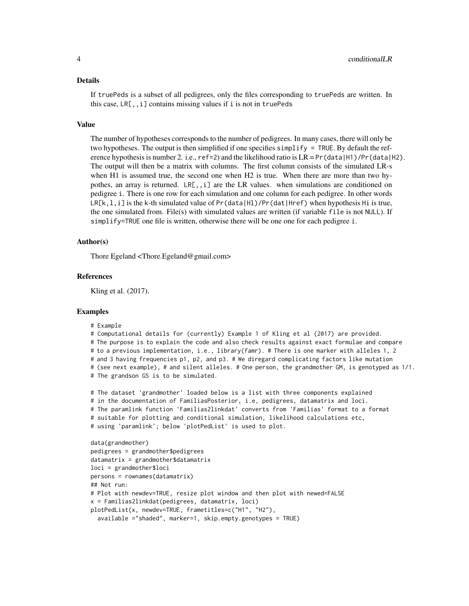#### Details

If truePeds is a subset of all pedigrees, only the files corresponding to truePeds are written. In this case, LR[,,i] contains missing values if i is not in truePeds

#### Value

The number of hypotheses corresponds to the number of pedigrees. In many cases, there will only be two hypotheses. The output is then simplified if one specifies simplify = TRUE. By default the reference hypothesis is number 2. i.e., ref=2) and the likelihood ratio is  $LR = Pr(data|H1)/Pr(data|H2)$ . The output will then be a matrix with columns. The first column consists of the simulated LR-s when H1 is assumed true, the second one when H2 is true. When there are more than two hypothes, an array is returned. LR[,,i] are the LR values. when simulations are conditioned on pedigree i. There is one row for each simulation and one column for each pedigree. In other words  $LR[k,1,i]$  is the k-th simulated value of  $Pr(data|H1)/Pr(data|Href)$  when hypothesis Hi is true, the one simulated from. File(s) with simulated values are written (if variable file is not NULL). If simplify=TRUE one file is written, otherwise there will be one one for each pedigree i.

#### Author(s)

Thore Egeland <Thore.Egeland@gmail.com>

#### References

Kling et al. (2017).

#### Examples

```
# Example
```
# Computational details for (currently) Example 1 of Kling et al (2017) are provided.

# The purpose is to explain the code and also check results against exact formulae and compare

- # to a previous implementation, i.e., library(famr). # There is one marker with alleles 1, 2
- # and 3 having frequencies p1, p2, and p3. # We diregard complicating factors like mutation

# (see next example), # and silent alleles. # One person, the grandmother GM, is genotyped as 1/1.

# The grandson GS is to be simulated.

```
# The dataset 'grandmother' loaded below is a list with three components explained
# in the documentation of FamiliasPosterior, i.e, pedigrees, datamatrix and loci.
# The paramlink function 'Familias2linkdat' converts from 'Familias' format to a format
# suitable for plotting and conditional simulation, likelihood calculations etc,
# using 'paramlink'; below 'plotPedList' is used to plot.
```

```
data(grandmother)
pedigrees = grandmother$pedigrees
datamatrix = grandmother$datamatrix
loci = grandmother$loci
persons = rownames(datamatrix)
## Not run:
# Plot with newdev=TRUE, resize plot window and then plot with newed=FALSE
x = Familias2linkdat(pedigrees, datamatrix, loci)
plotPedList(x, newdev=TRUE, frametitles=c("H1", "H2"),
 available ="shaded", marker=1, skip.empty.genotypes = TRUE)
```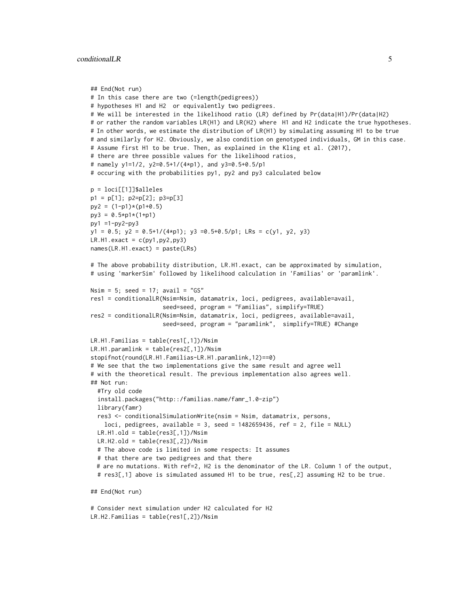```
## End(Not run)
# In this case there are two (=length(pedigrees))
# hypotheses H1 and H2 or equivalently two pedigrees.
# We will be interested in the likelihood ratio (LR) defined by Pr(data|H1)/Pr(data|H2)
# or rather the random variables LR(H1) and LR(H2) where H1 and H2 indicate the true hypotheses.
# In other words, we estimate the distribution of LR(H1) by simulating assuming H1 to be true
# and similarly for H2. Obviously, we also condition on genotyped individuals, GM in this case.
# Assume first H1 to be true. Then, as explained in the Kling et al. (2017),
# there are three possible values for the likelihood ratios,
# namely y1=1/2, y2=0.5+1/(4*p1), and y3=0.5+0.5/p1
# occuring with the probabilities py1, py2 and py3 calculated below
p = loci[[1]]$alleles
p1 = p[1]; p2=p[2]; p3=p[3]
py2 = (1-p1)*(p1+0.5)py3 = 0.5*p1*(1+p1)py1 =1-py2-py3
y1 = 0.5; y2 = 0.5 + 1/(4*p1); y3 = 0.5 + 0.5/p1; LRs = c(y1, y2, y3)
LR.H1.next = c(py1, py2, py3)names(LR.H1.exact) = paste(LRs)
# The above probability distribution, LR.H1.exact, can be approximated by simulation,
# using 'markerSim' followed by likelihood calculation in 'Familias' or 'paramlink'.
Nsim = 5; seed = 17; avail = "GS"
res1 = conditionalLR(Nsim=Nsim, datamatrix, loci, pedigrees, available=avail,
                     seed=seed, program = "Familias", simplify=TRUE)
res2 = conditionalLR(Nsim=Nsim, datamatrix, loci, pedigrees, available=avail,
                     seed=seed, program = "paramlink", simplify=TRUE) #Change
LR.H1.Familias = table(res1[,1])/Nsim
LR.H1.paramlink = table(res2[,1])/Nsim
stopifnot(round(LR.H1.Familias-LR.H1.paramlink,12)==0)
# We see that the two implementations give the same result and agree well
# with the theoretical result. The previous implementation also agrees well.
## Not run:
  #Try old code
  install.packages("http::/familias.name/famr_1.0-zip")
  library(famr)
  res3 <- conditionalSimulationWrite(nsim = Nsim, datamatrix, persons,
    loci, pedigrees, available = 3, seed = 1482659436, ref = 2, file = NULL)
  LR.H1.old = table(res3[,1])/NsimLR.H2.old = table(res3[,2])/Nsim
  # The above code is limited in some respects: It assumes
  # that there are two pedigrees and that there
  # are no mutations. With ref=2, H2 is the denominator of the LR. Column 1 of the output,
  # res3[,1] above is simulated assumed H1 to be true, res[,2] assuming H2 to be true.
## End(Not run)
```
# Consider next simulation under H2 calculated for H2 LR.H2.Familias = table(res1[,2])/Nsim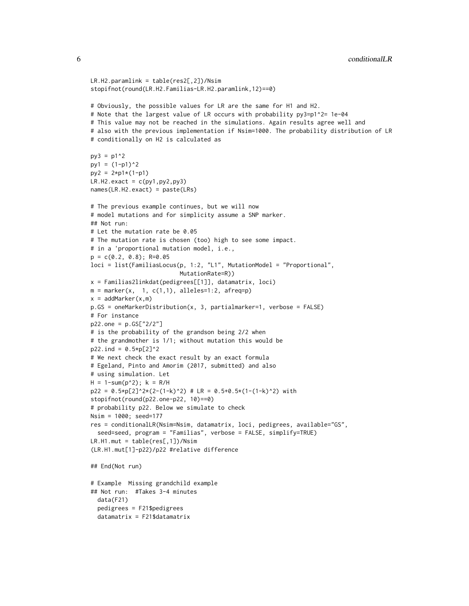```
LR.H2.paramlink = table(res2[,2])/Nsim
stopifnot(round(LR.H2.Familias-LR.H2.paramlink,12)==0)
# Obviously, the possible values for LR are the same for H1 and H2.
# Note that the largest value of LR occurs with probability py3=p1^2= 1e-04
# This value may not be reached in the simulations. Again results agree well and
# also with the previous implementation if Nsim=1000. The probability distribution of LR
# conditionally on H2 is calculated as
py3 = p1^2py1 = (1-p1)^2py2 = 2*pi*(1-p1)LR.H2exact = c(py1, py2, py3)names(LR.H2.exact) = paste(LRs)
# The previous example continues, but we will now
# model mutations and for simplicity assume a SNP marker.
## Not run:
# Let the mutation rate be 0.05
# The mutation rate is chosen (too) high to see some impact.
# in a 'proportional mutation model, i.e.,
p = c(0.2, 0.8); R=0.05loci = list(FamiliasLocus(p, 1:2, "L1", MutationModel = "Proportional",
                          MutationRate=R))
x = Familias2linkdat(pedigrees[[1]], datamatrix, loci)
m = marker(x, 1, c(1,1), alleles=1:2, afreq=p)x = addMarker(x,m)p.GS = oneMarkerDistribution(x, 3, partialmarker=1, verbose = FALSE)
# For instance
p22.one = p.GS["2/2"]
# is the probability of the grandson being 2/2 when
# the grandmother is 1/1; without mutation this would be
p22. ind = 0.5*p[2]^2
# We next check the exact result by an exact formula
# Egeland, Pinto and Amorim (2017, submitted) and also
# using simulation. Let
H = 1 - sum(p^2); k = R/Hp22 = 0.5*p[2]^2*(2-(1-k)^2) # LR = 0.5+0.5*(1-(1-k)^2) withstopifnot(round(p22.one-p22, 10)==0)
# probability p22. Below we simulate to check
Nsim = 1000; seed=177
res = conditionalLR(Nsim=Nsim, datamatrix, loci, pedigrees, available="GS",
  seed=seed, program = "Familias", verbose = FALSE, simplify=TRUE)
LR.H1.mut = table(res[,1])/Nsim
(LR.H1.mut[1]-p22)/p22 #relative difference
## End(Not run)
# Example Missing grandchild example
## Not run: #Takes 3-4 minutes
  data(F21)
  pedigrees = F21$pedigrees
  datamatrix = F21$datamatrix
```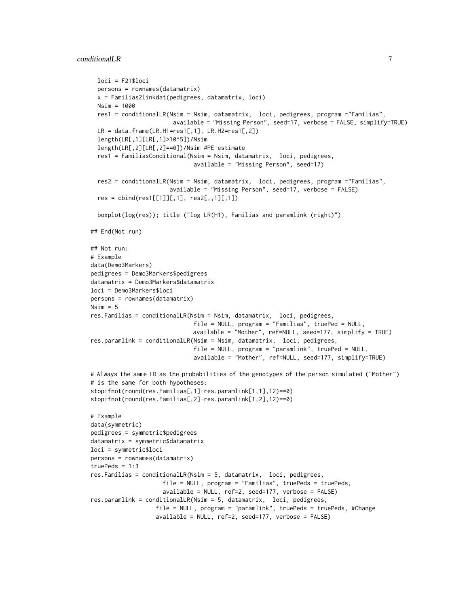#### conditionalLR 7

```
loci = F21$loci
 persons = rownames(datamatrix)
 x = Familias2linkdat(pedigrees, datamatrix, loci)
 Nsim = 1000
 res1 = conditionalLR(Nsim = Nsim, datamatrix, loci, pedigrees, program ="Familias",
                        available = "Missing Person", seed=17, verbose = FALSE, simplify=TRUE)
 LR = data frame(LR.H1=res1[, 1], LR.H2=res1[, 2]length(LR[,1][LR[,1]>10^5])/Nsim
 length(LR[,2][LR[,2]==0])/Nsim #PE estimate
 res1 = FamiliasConditional(Nsim = Nsim, datamatrix, loci, pedigrees,
                              available = "Missing Person", seed=17)
 res2 = conditionalLR(Nsim = Nsim, datamatrix, loci, pedigrees, program ="Familias",
                       available = "Missing Person", seed=17, verbose = FALSE)
 res = \text{cbind}(\text{res1}[[1]][, 1], \text{res2}[, 1][,1])boxplot(log(res)); title ("log LR(H1), Familias and paramlink (right)")
## End(Not run)
## Not run:
# Example
data(Demo3Markers)
pedigrees = Demo3Markers$pedigrees
datamatrix = Demo3Markers$datamatrix
loci = Demo3Markers$loci
persons = rownames(datamatrix)
Nsim = 5res.Familias = conditionalLR(Nsim = Nsim, datamatrix, loci, pedigrees,
                              file = NULL, program = "Familias", truePed = NULL,
                              available = "Mother", ref=NULL, seed=177, simplify = TRUE)
res.paramlink = conditionalLR(Nsim = Nsim, datamatrix, loci, pedigrees,
                              file = NULL, program = "paramlink", truePed = NULL,
                              available = "Mother", ref=NULL, seed=177, simplify=TRUE)
# Always the same LR as the probabilities of the genotypes of the person simulated ("Mother")
# is the same for both hypotheses:
stopifnot(round(res.Familias[,1]-res.paramlink[1,1],12)==0)
stopifnot(round(res.Familias[,2]-res.paramlink[1,2],12)==0)
# Example
data(symmetric)
pedigrees = symmetric$pedigrees
datamatrix = symmetric$datamatrix
loci = symmetric$loci
persons = rownames(datamatrix)
truePeds = 1:3res.Familias = conditionalLR(Nsim = 5, datamatrix, loci, pedigrees,
                     file = NULL, program = "Familias", truePeds = truePeds,
                     available = NULL, ref=2, seed=177, verbose = FALSE)
res.paramlink = conditionalLR(Nsim = 5, datamatrix, loci, pedigrees,
                   file = NULL, program = "paramlink", truePeds = truePeds, #Change
                   available = NULL, ref=2, seed=177, verbose = FALSE)
```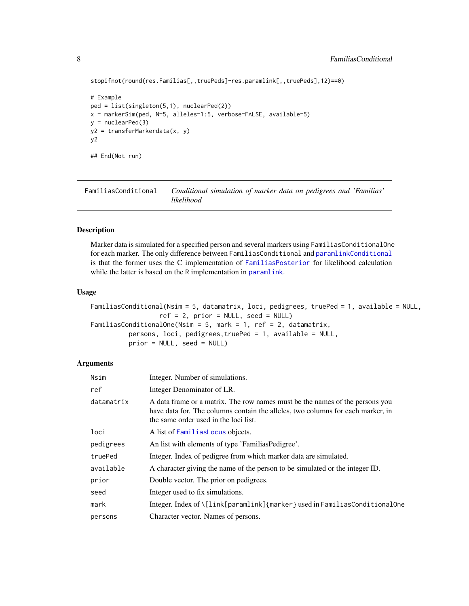```
stopifnot(round(res.Familias[,,truePeds]-res.paramlink[,,truePeds],12)==0)
```

```
# Example
ped = list(singleton(5,1), nuclearPed(2))
x = markerSim(ped, N=5, alleles=1:5, verbose=FALSE, available=5)
y = nuclearPed(3)y2 = transferMarkerdata(x, y)
y2
## End(Not run)
```
<span id="page-7-1"></span>FamiliasConditional *Conditional simulation of marker data on pedigrees and 'Familias' likelihood*

#### Description

Marker data is simulated for a specified person and several markers using FamiliasConditionalOne for each marker. The only difference between FamiliasConditional and [paramlinkConditional](#page-12-1) is that the former uses the C implementation of [FamiliasPosterior](#page-0-0) for likelihood calculation while the latter is based on the R implementation in [paramlink](#page-0-0).

#### Usage

```
FamiliasConditional(Nsim = 5, datamatrix, loci, pedigrees, truePed = 1, available = NULL,
                  ref = 2, prior = NULL, seed = NULL)
FamiliasConditionalOne(Nsim = 5, mark = 1, ref = 2, datamatrix,
         persons, loci, pedigrees,truePed = 1, available = NULL,
          prior = NULL, seed = NULL)
```

| Nsim       | Integer. Number of simulations.                                                                                                                                                                          |
|------------|----------------------------------------------------------------------------------------------------------------------------------------------------------------------------------------------------------|
| ref        | Integer Denominator of LR.                                                                                                                                                                               |
| datamatrix | A data frame or a matrix. The row names must be the names of the persons you<br>have data for. The columns contain the alleles, two columns for each marker, in<br>the same order used in the loci list. |
| loci       | A list of FamiliasLocus objects.                                                                                                                                                                         |
| pedigrees  | An list with elements of type 'FamiliasPedigree'.                                                                                                                                                        |
| truePed    | Integer. Index of pedigree from which marker data are simulated.                                                                                                                                         |
| available  | A character giving the name of the person to be simulated or the integer ID.                                                                                                                             |
| prior      | Double vector. The prior on pedigrees.                                                                                                                                                                   |
| seed       | Integer used to fix simulations.                                                                                                                                                                         |
| mark       | Integer. Index of \[link[paramlink]{marker} used in FamiliasConditionalOne                                                                                                                               |
| persons    | Character vector. Names of persons.                                                                                                                                                                      |

<span id="page-7-0"></span>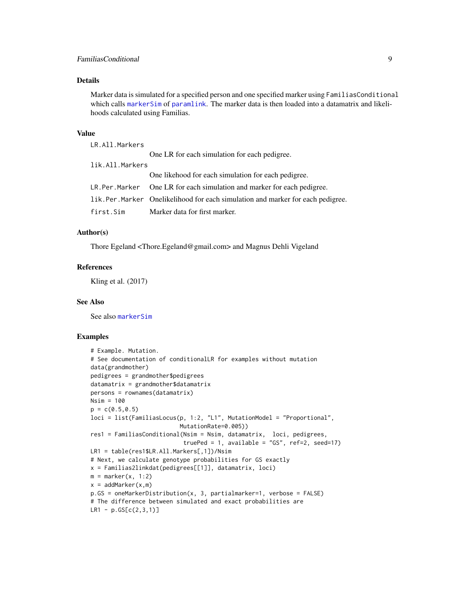#### <span id="page-8-0"></span>Details

Marker data is simulated for a specified person and one specified marker using FamiliasConditional which calls [markerSim](#page-0-0) of [paramlink](#page-0-0). The marker data is then loaded into a datamatrix and likelihoods calculated using Familias.

#### Value

LR.All.Markers

|                 | One LR for each simulation for each pedigree.                                  |
|-----------------|--------------------------------------------------------------------------------|
| lik.All.Markers |                                                                                |
|                 | One likehood for each simulation for each pedigree.                            |
|                 | LR. Per. Marker One LR for each simulation and marker for each pedigree.       |
|                 | lik.Per.Marker Onelikelihood for each simulation and marker for each pedigree. |
| first.Sim       | Marker data for first marker.                                                  |

#### Author(s)

Thore Egeland <Thore.Egeland@gmail.com> and Magnus Dehli Vigeland

#### References

Kling et al. (2017)

#### See Also

See also [markerSim](#page-0-0)

#### Examples

```
# Example. Mutation.
# See documentation of conditionalLR for examples without mutation
data(grandmother)
pedigrees = grandmother$pedigrees
datamatrix = grandmother$datamatrixpersons = rownames(datamatrix)
Nsim = 100
p = c(0.5, 0.5)loci = list(FamiliasLocus(p, 1:2, "L1", MutationModel = "Proportional",
                          MutationRate=0.005))
res1 = FamiliasConditional(Nsim = Nsim, datamatrix, loci, pedigrees,
                           truePed = 1, available = "GS", ref=2, seed=17)
LR1 = table(res1$LR.All.Markers[,1])/Nsim
# Next, we calculate genotype probabilities for GS exactly
x = Familias2linkdat(pedigrees[[1]], datamatrix, loci)
m = marker(x, 1:2)x = addMarker(x,m)p.GS = oneMarkerDistribution(x, 3, partialmarker=1, verbose = FALSE)
# The difference between simulated and exact probabilities are
LR1 - p.GS[C(2,3,1)]
```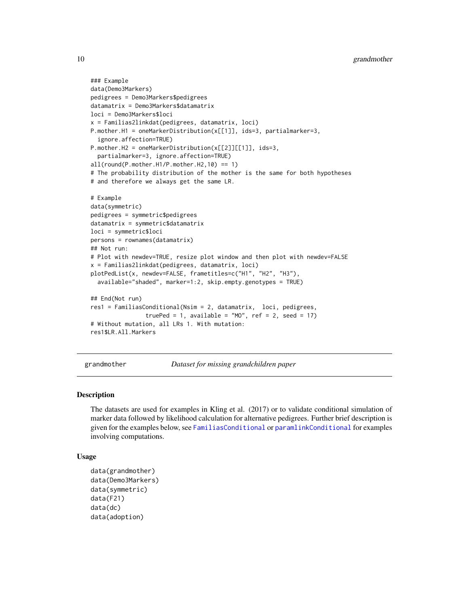```
### Example
data(Demo3Markers)
pedigrees = Demo3Markers$pedigrees
datamatrix = Demo3Markers$datamatrix
loci = Demo3Markers$loci
x = Familias2linkdat(pedigrees, datamatrix, loci)
P.mother.H1 = oneMarkerDistribution(x[[1]], ids=3, partialmarker=3,
  ignore.affection=TRUE)
P.mother.H2 = oneMarkerDistribution(x[[2]][[1]], ids=3,
  partialmarker=3, ignore.affection=TRUE)
all(round(P.mother.H1/P.mother.H2,10) == 1)# The probability distribution of the mother is the same for both hypotheses
# and therefore we always get the same LR.
# Example
data(symmetric)
pedigrees = symmetric$pedigrees
datamatrix = symmetric$datamatrix
loci = symmetric$loci
persons = rownames(datamatrix)
## Not run:
# Plot with newdev=TRUE, resize plot window and then plot with newdev=FALSE
x = Familias2linkdat(pedigrees, datamatrix, loci)
plotPedList(x, newdev=FALSE, frametitles=c("H1", "H2", "H3"),
  available="shaded", marker=1:2, skip.empty.genotypes = TRUE)
## End(Not run)
res1 = FamiliasConditional(Nsim = 2, datamatrix, loci, pedigrees,
                truePed = 1, available = "MO", ref = 2, seed = 17)
# Without mutation, all LRs 1. With mutation:
res1$LR.All.Markers
```
grandmother *Dataset for missing grandchildren paper*

#### Description

The datasets are used for examples in Kling et al. (2017) or to validate conditional simulation of marker data followed by likelihood calculation for alternative pedigrees. Further brief description is given for the examples below, see [FamiliasConditional](#page-7-1) or [paramlinkConditional](#page-12-1) for examples involving computations.

#### Usage

```
data(grandmother)
data(Demo3Markers)
data(symmetric)
data(F21)
data(dc)
data(adoption)
```
<span id="page-9-0"></span>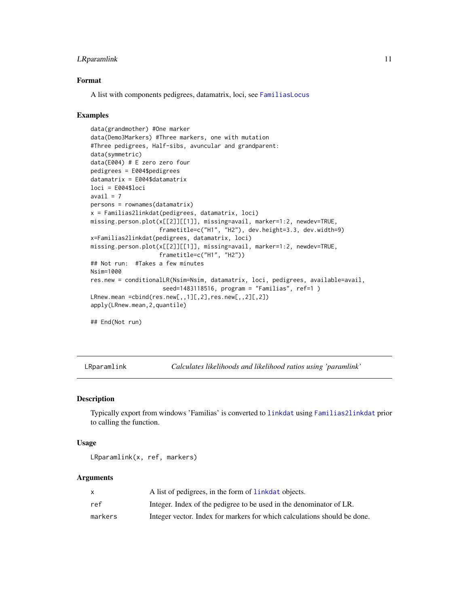#### <span id="page-10-0"></span>**LRparamlink** 11

#### Format

A list with components pedigrees, datamatrix, loci, see [FamiliasLocus](#page-0-0)

#### Examples

```
data(grandmother) #One marker
data(Demo3Markers) #Three markers, one with mutation
#Three pedigrees, Half-sibs, avuncular and grandparent:
data(symmetric)
data(E004) # E zero zero four
pedigrees = E004$pedigrees
datamatrix = E004$datamatrix
loci = E004$loci
avail = 7persons = rownames(datamatrix)
x = Familias2linkdat(pedigrees, datamatrix, loci)
missing.person.plot(x[[2]][[1]], missing=avail, marker=1:2, newdev=TRUE,
                    frametitle=c("H1", "H2"), dev.height=3.3, dev.width=9)
x=Familias2linkdat(pedigrees, datamatrix, loci)
missing.person.plot(x[[2]][[1]], missing=avail, marker=1:2, newdev=TRUE,
                    frametitle=c("H1", "H2"))
## Not run: #Takes a few minutes
Nsim=1000
res.new = conditionalLR(Nsim=Nsim, datamatrix, loci, pedigrees, available=avail,
                     seed=1483118516, program = "Familias", ref=1 )
LRnew.mean =cbind(res.new[,,1][,2],res.new[,,2][,2])
apply(LRnew.mean,2,quantile)
## End(Not run)
```
LRparamlink *Calculates likelihoods and likelihood ratios using 'paramlink'*

#### Description

Typically export from windows 'Familias' is converted to [linkdat](#page-0-0) using [Familias2linkdat](#page-0-0) prior to calling the function.

#### Usage

```
LRparamlink(x, ref, markers)
```

|         | A list of pedigrees, in the form of linkdat objects.                     |
|---------|--------------------------------------------------------------------------|
| ref     | Integer. Index of the pedigree to be used in the denominator of LR.      |
| markers | Integer vector. Index for markers for which calculations should be done. |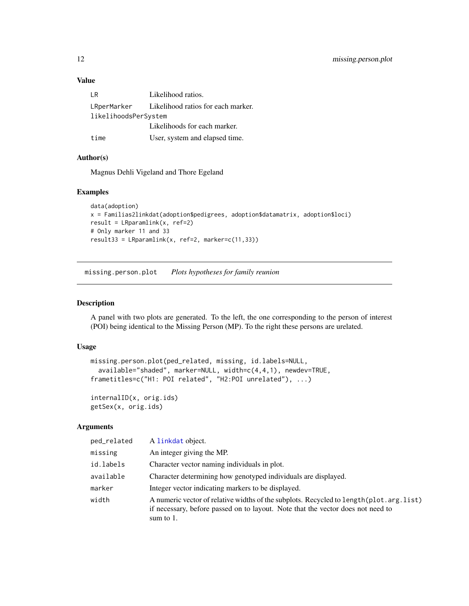#### <span id="page-11-0"></span>Value

| I R                  | Likelihood ratios.                             |
|----------------------|------------------------------------------------|
|                      | LRperMarker Likelihood ratios for each marker. |
| likelihoodsPerSystem |                                                |
|                      | Likelihoods for each marker.                   |
| time                 | User, system and elapsed time.                 |

#### Author(s)

Magnus Dehli Vigeland and Thore Egeland

#### Examples

```
data(adoption)
x = Familias2linkdat(adoption$pedigrees, adoption$datamatrix, adoption$loci)
result = LRparamlink(x, ref=2)
# Only marker 11 and 33
result33 = LRparamlink(x, ref=2, marker=c(11,33))
```
missing.person.plot *Plots hypotheses for family reunion*

#### Description

A panel with two plots are generated. To the left, the one corresponding to the person of interest (POI) being identical to the Missing Person (MP). To the right these persons are urelated.

#### Usage

```
missing.person.plot(ped_related, missing, id.labels=NULL,
  available="shaded", marker=NULL, width=c(4,4,1), newdev=TRUE,
frametitles=c("H1: POI related", "H2:POI unrelated"), ...)
```

```
internalID(x, orig.ids)
getSex(x, orig.ids)
```

| ped_related | A linkdat object.                                                                                                                                                                          |
|-------------|--------------------------------------------------------------------------------------------------------------------------------------------------------------------------------------------|
| missing     | An integer giving the MP.                                                                                                                                                                  |
| id.labels   | Character vector naming individuals in plot.                                                                                                                                               |
| available   | Character determining how genotyped individuals are displayed.                                                                                                                             |
| marker      | Integer vector indicating markers to be displayed.                                                                                                                                         |
| width       | A numeric vector of relative widths of the subplots. Recycled to length (plot.arg.list)<br>if necessary, before passed on to layout. Note that the vector does not need to<br>sum to $1$ . |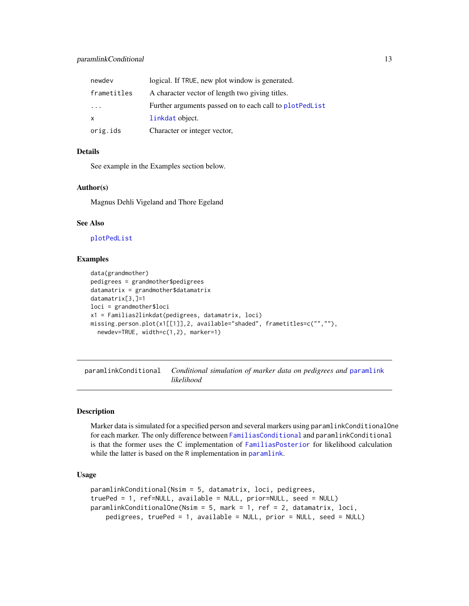#### <span id="page-12-0"></span>paramlinkConditional 13

| newdev                  | logical. If TRUE, new plot window is generated.           |
|-------------------------|-----------------------------------------------------------|
| frametitles             | A character vector of length two giving titles.           |
| $\cdot$ $\cdot$ $\cdot$ | Further arguments passed on to each call to plot Ped List |
| X                       | linkdat object.                                           |
| orig.ids                | Character or integer vector,                              |

#### Details

See example in the Examples section below.

#### Author(s)

Magnus Dehli Vigeland and Thore Egeland

### See Also

[plotPedList](#page-0-0)

#### Examples

```
data(grandmother)
pedigrees = grandmother$pedigrees
datamatrix = grandmother$datamatrixdatamatrix[3,]=1
loci = grandmother$loci
x1 = Familias2linkdat(pedigrees, datamatrix, loci)
missing.person.plot(x1[[1]],2, available="shaded", frametitles=c("",""),
  newdev=TRUE, width=c(1,2), marker=1)
```
<span id="page-12-1"></span>paramlinkConditional *Conditional simulation of marker data on pedigrees and* [paramlink](#page-0-0) *likelihood*

#### Description

Marker data is simulated for a specified person and several markers using paramlinkConditionalOne for each marker. The only difference between [FamiliasConditional](#page-7-1) and paramlinkConditional is that the former uses the C implementation of [FamiliasPosterior](#page-0-0) for likelihood calculation while the latter is based on the R implementation in [paramlink](#page-0-0).

#### Usage

```
paramlinkConditional(Nsim = 5, datamatrix, loci, pedigrees,
truePed = 1, ref=NULL, available = NULL, prior=NULL, seed = NULL)
paramlinkConditionalOne(Nsim = 5, mark = 1, ref = 2, datamatrix, loci,
   pedigrees, truePed = 1, available = NULL, prior = NULL, seed = NULL)
```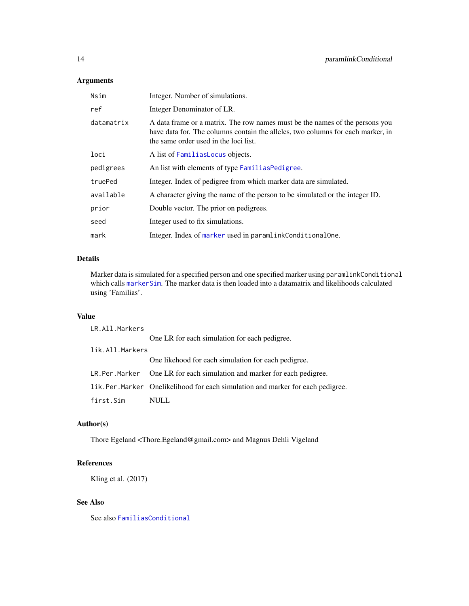#### <span id="page-13-0"></span>Arguments

| Nsim       | Integer. Number of simulations.                                                                                                                                                                          |
|------------|----------------------------------------------------------------------------------------------------------------------------------------------------------------------------------------------------------|
| ref        | Integer Denominator of LR.                                                                                                                                                                               |
| datamatrix | A data frame or a matrix. The row names must be the names of the persons you<br>have data for. The columns contain the alleles, two columns for each marker, in<br>the same order used in the loci list. |
| loci       | A list of Familias Locus objects.                                                                                                                                                                        |
| pedigrees  | An list with elements of type Familias Pedigree.                                                                                                                                                         |
| truePed    | Integer. Index of pedigree from which marker data are simulated.                                                                                                                                         |
| available  | A character giving the name of the person to be simulated or the integer ID.                                                                                                                             |
| prior      | Double vector. The prior on pedigrees.                                                                                                                                                                   |
| seed       | Integer used to fix simulations.                                                                                                                                                                         |
| mark       | Integer. Index of marker used in paramlinkConditionalOne.                                                                                                                                                |

#### Details

Marker data is simulated for a specified person and one specified marker using paramlinkConditional which calls [markerSim](#page-0-0). The marker data is then loaded into a datamatrix and likelihoods calculated using 'Familias'.

### Value

| LR.All.Markers  |                                                                                |
|-----------------|--------------------------------------------------------------------------------|
|                 | One LR for each simulation for each pedigree.                                  |
| lik.All.Markers |                                                                                |
|                 | One likehood for each simulation for each pedigree.                            |
|                 | LR. Per. Marker One LR for each simulation and marker for each pedigree.       |
|                 | lik.Per.Marker Onelikelihood for each simulation and marker for each pedigree. |
| first.Sim       | <b>NULL</b>                                                                    |

### Author(s)

Thore Egeland <Thore.Egeland@gmail.com> and Magnus Dehli Vigeland

### References

Kling et al. (2017)

### See Also

See also [FamiliasConditional](#page-7-1)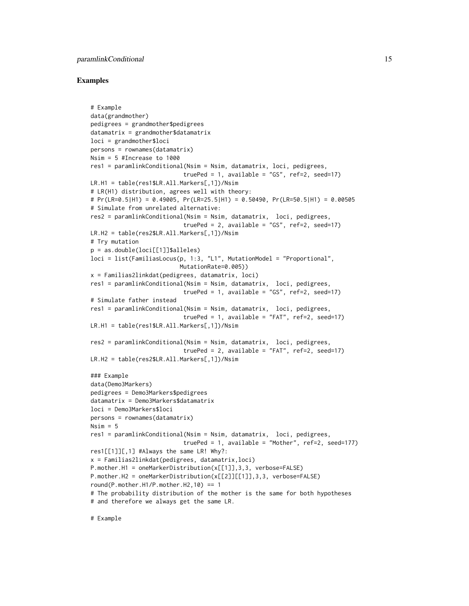#### paramlinkConditional 15

#### Examples

```
# Example
data(grandmother)
pedigrees = grandmother$pedigrees
datamatrix = grandmother$datamatrix
loci = grandmother$loci
persons = rownames(datamatrix)
Nsim = 5 #Increase to 1000
res1 = paramlinkConditional(Nsim = Nsim, datamatrix, loci, pedigrees,
                           truePed = 1, available = "GS", ref=2, seed=17)
LR.H1 = table(res1$LR.All.Markers[,1])/Nsim
# LR(H1) distribution, agrees well with theory:
# Pr(LR=0.5|H1) = 0.49005, Pr(LR=25.5|H1) = 0.50490, Pr(LR=50.5|H1) = 0.00505
# Simulate from unrelated alternative:
res2 = paramlinkConditional(Nsim = Nsim, datamatrix, loci, pedigrees,
                           truePed = 2, available = "GS", ref=2, seed=17)
LR.H2 = table(res2$LR.All.Markers[,1])/Nsim
# Try mutation
p = as.double(loci[[1]]$alleles)
loci = list(FamiliasLocus(p, 1:3, "L1", MutationModel = "Proportional",
                          MutationRate=0.005))
x = Familias2linkdat(pedigrees, datamatrix, loci)
res1 = paramlinkConditional(Nsim = Nsim, datamatrix, loci, pedigrees,
                           truePed = 1, available = "GS", ref=2, seed=17)
# Simulate father instead
res1 = paramlinkConditional(Nsim = Nsim, datamatrix, loci, pedigrees,
                           truePed = 1, available = "FAT", ref=2, seed=17)
LR.H1 = table(res1$LR.All.Markers[,1])/Nsim
res2 = paramlinkConditional(Nsim = Nsim, datamatrix, loci, pedigrees,
                           truePed = 2, available = "FAT", ref=2, seed=17)
LR.H2 = table(res2$LR.All.Markers[,1])/Nsim
### Example
data(Demo3Markers)
pedigrees = Demo3Markers$pedigrees
datamatrix = Demo3Markers$datamatrix
loci = Demo3Markers$loci
persons = rownames(datamatrix)
Nsim = 5res1 = paramlinkConditional(Nsim = Nsim, datamatrix, loci, pedigrees,
                           truePed = 1, available = "Mother", ref=2, seed=177)
res1[[1]][,1] #Always the same LR! Why?:
x = Familias2linkdat(pedigrees, datamatrix,loci)
P.mother.H1 = oneMarkerDistribution(x[[1]],3,3, verbose=FALSE)
P.mother.H2 = oneMarkerDistribution(x[[2]][[1]],3,3, verbose=FALSE)
round(P.mother.H1/P.mother.H2,10) == 1
# The probability distribution of the mother is the same for both hypotheses
# and therefore we always get the same LR.
```
# Example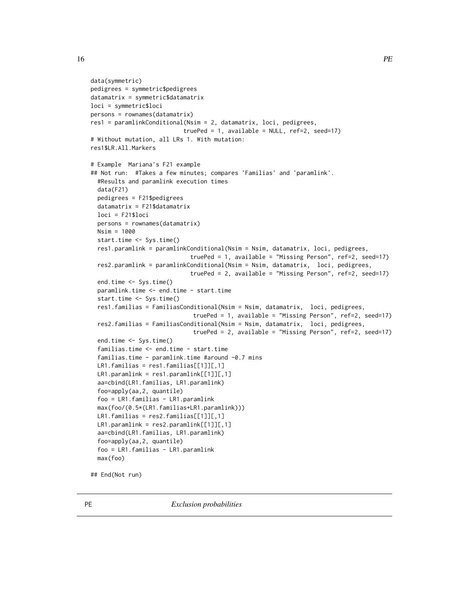```
data(symmetric)
pedigrees = symmetric$pedigrees
datamatrix = symmetric$datamatrix
loci = symmetric$loci
persons = rownames(datamatrix)
res1 = paramlinkConditional(Nsim = 2, datamatrix, loci, pedigrees,
                           truePed = 1, available = NULL, ref=2, seed=17)
# Without mutation, all LRs 1. With mutation:
res1$LR.All.Markers
# Example Mariana's F21 example
## Not run: #Takes a few minutes; compares 'Familias' and 'paramlink'.
  #Results and paramlink execution times
 data(F21)
 pedigrees = F21$pedigrees
 datamatrix = F21$datamatrix
 loci = F21$loci
 persons = rownames(datamatrix)
 Nsim = 1000
 start.time <- Sys.time()
 res1.paramlink = paramlinkConditional(Nsim = Nsim, datamatrix, loci, pedigrees,
                             truePed = 1, available = "Missing Person", ref=2, seed=17)
 res2.paramlink = paramlinkConditional(Nsim = Nsim, datamatrix, loci, pedigrees,
                             truePed = 2, available = "Missing Person", ref=2, seed=17)
 end.time <- Sys.time()
 paramlink.time <- end.time - start.time
  start.time <- Sys.time()
 res1.familias = FamiliasConditional(Nsim = Nsim, datamatrix, loci, pedigrees,
                             truePed = 1, available = "Missing Person", ref=2, seed=17)
 res2.familias = FamiliasConditional(Nsim = Nsim, datamatrix, loci, pedigrees,
                             truePed = 2, available = "Missing Person", ref=2, seed=17)
 end.time <- Sys.time()
 familias.time <- end.time - start.time
 familias.time - paramlink.time #around -0.7 mins
 LR1.familias = res1.familias[[1]][,1]LR1.paramlink = res1.paramlink[[1]][, 1]aa=cbind(LR1.familias, LR1.paramlink)
 foo=apply(aa,2, quantile)
  foo = LR1.familias - LR1.paramlink
 max(foo/(0.5*(LR1.familias+LR1.paramlink)))
 LR1.familias = res2.familias[[1]][,1]LR1.paramlink = res2.paramlink[[1]][,1]
 aa=cbind(LR1.familias, LR1.paramlink)
 foo=apply(aa,2, quantile)
 foo = LR1.familias - LR1.paramlink
 max(foo)
```
## End(Not run)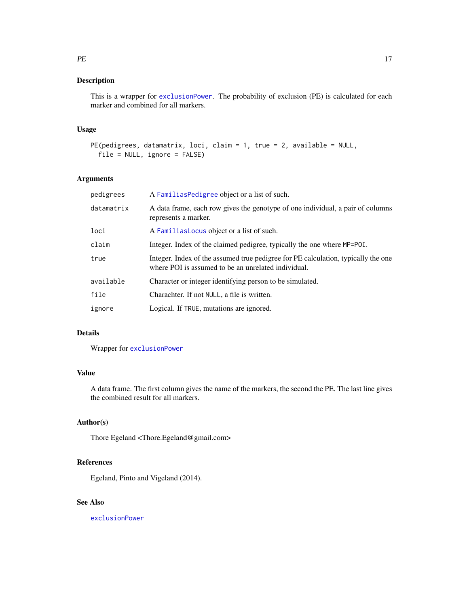#### <span id="page-16-0"></span>Description

This is a wrapper for [exclusionPower](#page-0-0). The probability of exclusion (PE) is calculated for each marker and combined for all markers.

#### Usage

```
PE(pedigrees, datamatrix, loci, claim = 1, true = 2, available = NULL,
  file = NULL, ignore = FALSE)
```
#### Arguments

| pedigrees  | A Familias Pedigree object or a list of such.                                                                                            |
|------------|------------------------------------------------------------------------------------------------------------------------------------------|
| datamatrix | A data frame, each row gives the genotype of one individual, a pair of columns<br>represents a marker.                                   |
| loci       | A Familias Locus object or a list of such.                                                                                               |
| claim      | Integer. Index of the claimed pedigree, typically the one where MP=POI.                                                                  |
| true       | Integer. Index of the assumed true pedigree for PE calculation, typically the one<br>where POI is assumed to be an unrelated individual. |
| available  | Character or integer identifying person to be simulated.                                                                                 |
| file       | Charachter. If not NULL, a file is written.                                                                                              |
| ignore     | Logical. If TRUE, mutations are ignored.                                                                                                 |

### Details

Wrapper for [exclusionPower](#page-0-0)

#### Value

A data frame. The first column gives the name of the markers, the second the PE. The last line gives the combined result for all markers.

#### Author(s)

Thore Egeland <Thore.Egeland@gmail.com>

#### References

Egeland, Pinto and Vigeland (2014).

## See Also

[exclusionPower](#page-0-0)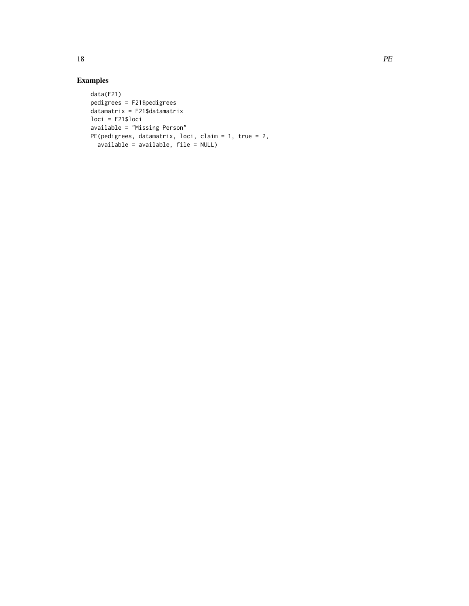# Examples

```
data(F21)
pedigrees = F21$pedigrees
datamatrix = F21$datamatrix
loci = F21$loci
available = "Missing Person"
PE(pedigrees, datamatrix, loci, claim = 1, true = 2,
  available = available, file = NULL)
```